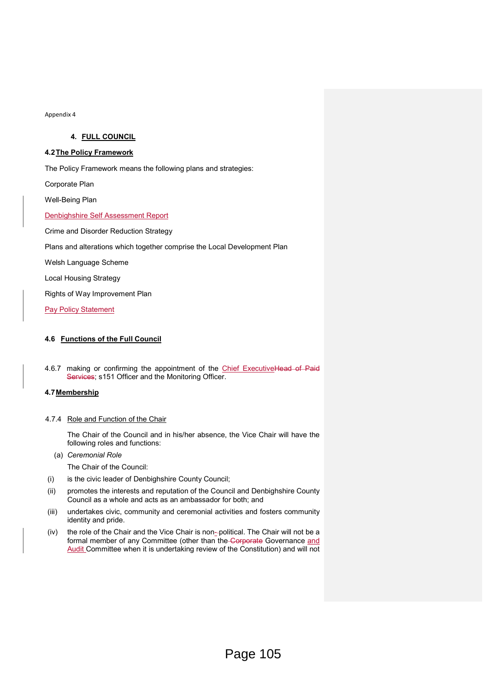### 4. FULL COUNCIL

### 4.2 The Policy Framework

The Policy Framework means the following plans and strategies:

Corporate Plan

Well-Being Plan

Denbighshire Self Assessment Report

Crime and Disorder Reduction Strategy

Plans and alterations which together comprise the Local Development Plan

Welsh Language Scheme

Local Housing Strategy

Rights of Way Improvement Plan

**Pay Policy Statement** 

# 4.6 Functions of the Full Council

4.6.7 making or confirming the appointment of the Chief ExecutiveHead of Paid Services; s151 Officer and the Monitoring Officer.

# 4.7 Membership

### 4.7.4 Role and Function of the Chair

The Chair of the Council and in his/her absence, the Vice Chair will have the following roles and functions:

(a) Ceremonial Role

The Chair of the Council:

- (i) is the civic leader of Denbighshire County Council;
- (ii) promotes the interests and reputation of the Council and Denbighshire County Council as a whole and acts as an ambassador for both; and
- (iii) undertakes civic, community and ceremonial activities and fosters community identity and pride.
- (iv) the role of the Chair and the Vice Chair is non- political. The Chair will not be a formal member of any Committee (other than the Corporate Governance and Audit Committee when it is undertaking review of the Constitution) and will not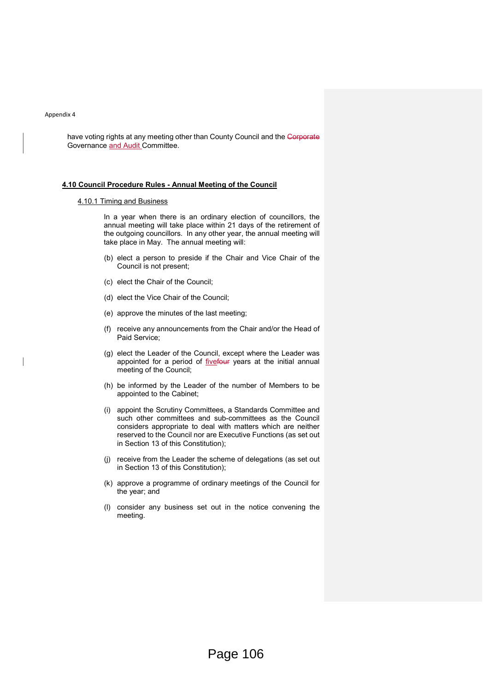have voting rights at any meeting other than County Council and the Gorporate Governance and Audit Committee.

#### 4.10 Council Procedure Rules - Annual Meeting of the Council

# 4.10.1 Timing and Business

In a year when there is an ordinary election of councillors, the annual meeting will take place within 21 days of the retirement of the outgoing councillors. In any other year, the annual meeting will take place in May. The annual meeting will:

- (b) elect a person to preside if the Chair and Vice Chair of the Council is not present;
- (c) elect the Chair of the Council;
- (d) elect the Vice Chair of the Council;
- (e) approve the minutes of the last meeting;
- (f) receive any announcements from the Chair and/or the Head of Paid Service;
- (g) elect the Leader of the Council, except where the Leader was appointed for a period of *fivefour* years at the initial annual meeting of the Council;
- (h) be informed by the Leader of the number of Members to be appointed to the Cabinet;
- (i) appoint the Scrutiny Committees, a Standards Committee and such other committees and sub-committees as the Council considers appropriate to deal with matters which are neither reserved to the Council nor are Executive Functions (as set out in Section 13 of this Constitution);
- (j) receive from the Leader the scheme of delegations (as set out in Section 13 of this Constitution);
- (k) approve a programme of ordinary meetings of the Council for the year; and
- (l) consider any business set out in the notice convening the meeting.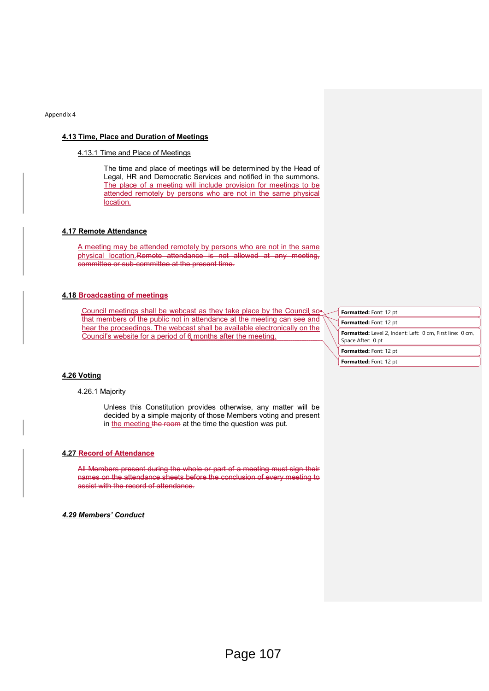#### 4.13 Time, Place and Duration of Meetings

### 4.13.1 Time and Place of Meetings

The time and place of meetings will be determined by the Head of Legal, HR and Democratic Services and notified in the summons. The place of a meeting will include provision for meetings to be attended remotely by persons who are not in the same physical location.

# 4.17 Remote Attendance

A meeting may be attended remotely by persons who are not in the same physical location.Remote attendance is not allowed at any meeting, committee or sub-committee at the present time.

### 4.18 Broadcasting of meetings

Council meetings shall be webcast as they take place by the Council so that members of the public not in attendance at the meeting can see and hear the proceedings. The webcast shall be available electronically on the Council's website for a period of 6 months after the meeting.

| Formatted: Font: 12 pt                                                         |
|--------------------------------------------------------------------------------|
| Formatted: Font: 12 pt                                                         |
| Formatted: Level 2, Indent: Left: 0 cm, First line: 0 cm,<br>Space After: 0 pt |
| Formatted: Font: 12 pt                                                         |
| Formatted: Font: 12 pt                                                         |

#### 4.26 Voting

### 4.26.1 Majority

Unless this Constitution provides otherwise, any matter will be decided by a simple majority of those Members voting and present in the meeting the room at the time the question was put.

#### 4.27 Record of Attendance

All Members present during the whole or part of a meeting must sign their names on the attendance sheets before the conclusion of every meeting to assist with the record of attendance.

4.29 Members' Conduct